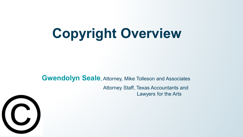# **Copyright Overview**

**Gwendolyn Seale**, Attorney, Mike Tolleson and Associates Attorney Staff, Texas Accountants and Lawyers for the Arts

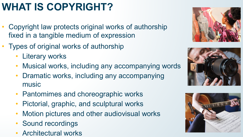### **WHAT IS COPYRIGHT?**

- Copyright law protects original works of authorship fixed in a tangible medium of expression
- Types of original works of authorship
	- Literary works
	- Musical works, including any accompanying words
	- Dramatic works, including any accompanying music
	- Pantomimes and choreographic works
	- Pictorial, graphic, and sculptural works
	- Motion pictures and other audiovisual works
	- Sound recordings
	- Architectural works





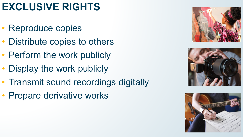### **EXCLUSIVE RIGHTS**

- Reproduce copies
- Distribute copies to others
- Perform the work publicly
- Display the work publicly
- Transmit sound recordings digitally
- Prepare derivative works





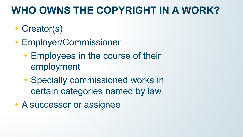#### **WHO OWNS THE COPYRIGHT IN A WORK?**

- Creator(s)
- Employer/Commissioner
	- Employees in the course of their employment
	- Specially commissioned works in certain categories named by law
- A successor or assignee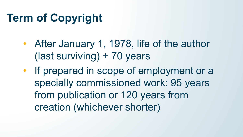## **Term of Copyright**

- After January 1, 1978, life of the author (last surviving) + 70 years
- If prepared in scope of employment or a specially commissioned work: 95 years from publication or 120 years from creation (whichever shorter)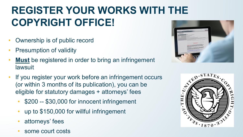### **REGISTER YOUR WORKS WITH THE COPYRIGHT OFFICE!**

- Ownership is of public record
- **Presumption of validity**
- **Must** be registered in order to bring an infringement lawsuit
- If you register your work before an infringement occurs (or within 3 months of its publication), you can be eligible for statutory damages + attorneys' fees
	- \$200 -- \$30,000 for innocent infringement
	- up to \$150,000 for willful infringement
	- attorneys' fees
	- some court costs



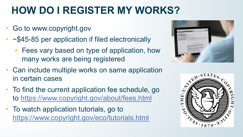### **HOW DO I REGISTER MY WORKS?**

- Go to www.copyright.gov
- ~\$45-85 per application if filed electronically
	- Fees vary based on type of application, how many works are being registered



- Can include multiple works on same application in certain cases
- To find the current application fee schedule, go to <https://www.copyright.gov/about/fees.html>
- To watch application tutorials, go to <https://www.copyright.gov/eco/tutorials.html>